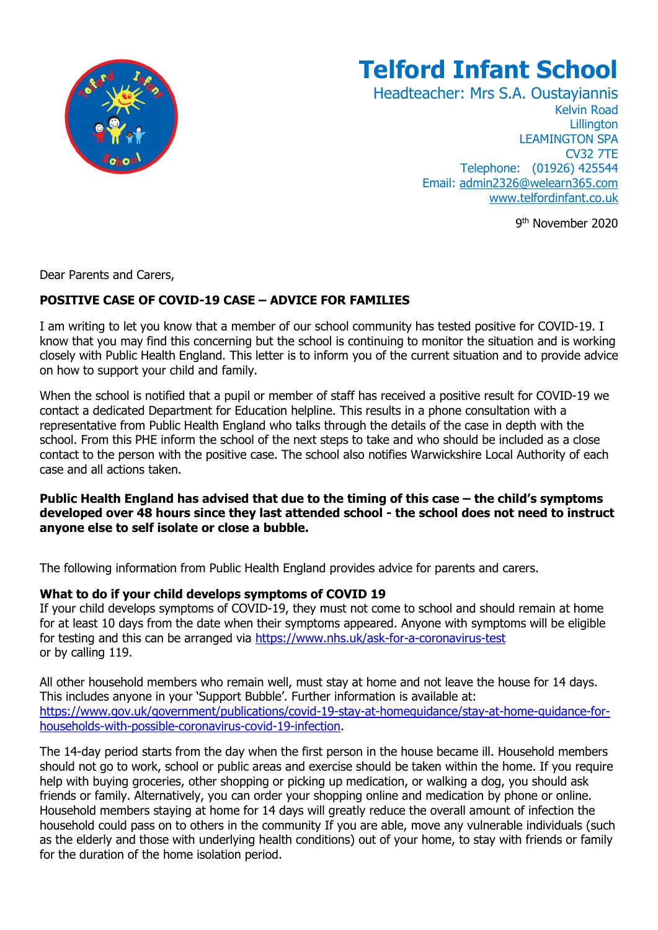

# **Telford Infant School**

Headteacher: Mrs S.A. Oustayiannis Kelvin Road **Lillington** LEAMINGTON SPA CV32 7TE Telephone: (01926) 425544 Email: [admin2326@welearn365.com](mailto:admin2326@welearn365.com) [www.telfordinfant.co.uk](http://www.telfordinfant.co.uk/)

9 th November 2020

Dear Parents and Carers,

## **POSITIVE CASE OF COVID-19 CASE – ADVICE FOR FAMILIES**

I am writing to let you know that a member of our school community has tested positive for COVID-19. I know that you may find this concerning but the school is continuing to monitor the situation and is working closely with Public Health England. This letter is to inform you of the current situation and to provide advice on how to support your child and family.

When the school is notified that a pupil or member of staff has received a positive result for COVID-19 we contact a dedicated Department for Education helpline. This results in a phone consultation with a representative from Public Health England who talks through the details of the case in depth with the school. From this PHE inform the school of the next steps to take and who should be included as a close contact to the person with the positive case. The school also notifies Warwickshire Local Authority of each case and all actions taken.

#### **Public Health England has advised that due to the timing of this case – the child's symptoms developed over 48 hours since they last attended school - the school does not need to instruct anyone else to self isolate or close a bubble.**

The following information from Public Health England provides advice for parents and carers.

### **What to do if your child develops symptoms of COVID 19**

If your child develops symptoms of COVID-19, they must not come to school and should remain at home for at least 10 days from the date when their symptoms appeared. Anyone with symptoms will be eligible for testing and this can be arranged via<https://www.nhs.uk/ask-for-a-coronavirus-test> or by calling 119.

All other household members who remain well, must stay at home and not leave the house for 14 days. This includes anyone in your 'Support Bubble'. Further information is available at: [https://www.gov.uk/government/publications/covid-19-stay-at-homeguidance/stay-at-home-guidance-for](https://www.gov.uk/government/publications/covid-19-stay-at-homeguidance/stay-at-home-guidance-for-households-with-possible-coronavirus-covid-19-infection)[households-with-possible-coronavirus-covid-19-infection.](https://www.gov.uk/government/publications/covid-19-stay-at-homeguidance/stay-at-home-guidance-for-households-with-possible-coronavirus-covid-19-infection)

The 14-day period starts from the day when the first person in the house became ill. Household members should not go to work, school or public areas and exercise should be taken within the home. If you require help with buying groceries, other shopping or picking up medication, or walking a dog, you should ask friends or family. Alternatively, you can order your shopping online and medication by phone or online. Household members staying at home for 14 days will greatly reduce the overall amount of infection the household could pass on to others in the community If you are able, move any vulnerable individuals (such as the elderly and those with underlying health conditions) out of your home, to stay with friends or family for the duration of the home isolation period.